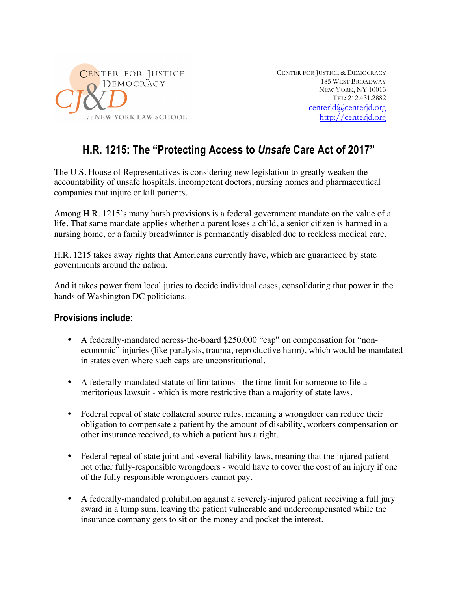

CENTER FOR JUSTICE & DEMOCRACY 185 WEST BROADWAY NEW YORK, NY 10013 TEL: 212.431.2882 centerjd@centerjd.org http://centerjd.org

## **H.R. 1215: The "Protecting Access to** *Unsafe* **Care Act of 2017"**

The U.S. House of Representatives is considering new legislation to greatly weaken the accountability of unsafe hospitals, incompetent doctors, nursing homes and pharmaceutical companies that injure or kill patients.

Among H.R. 1215's many harsh provisions is a federal government mandate on the value of a life. That same mandate applies whether a parent loses a child, a senior citizen is harmed in a nursing home, or a family breadwinner is permanently disabled due to reckless medical care.

H.R. 1215 takes away rights that Americans currently have, which are guaranteed by state governments around the nation.

And it takes power from local juries to decide individual cases, consolidating that power in the hands of Washington DC politicians.

## **Provisions include:**

- A federally-mandated across-the-board \$250,000 "cap" on compensation for "noneconomic" injuries (like paralysis, trauma, reproductive harm), which would be mandated in states even where such caps are unconstitutional.
- A federally-mandated statute of limitations the time limit for someone to file a meritorious lawsuit - which is more restrictive than a majority of state laws.
- Federal repeal of state collateral source rules, meaning a wrongdoer can reduce their obligation to compensate a patient by the amount of disability, workers compensation or other insurance received, to which a patient has a right.
- Federal repeal of state joint and several liability laws, meaning that the injured patient not other fully-responsible wrongdoers - would have to cover the cost of an injury if one of the fully-responsible wrongdoers cannot pay.
- A federally-mandated prohibition against a severely-injured patient receiving a full jury award in a lump sum, leaving the patient vulnerable and undercompensated while the insurance company gets to sit on the money and pocket the interest.